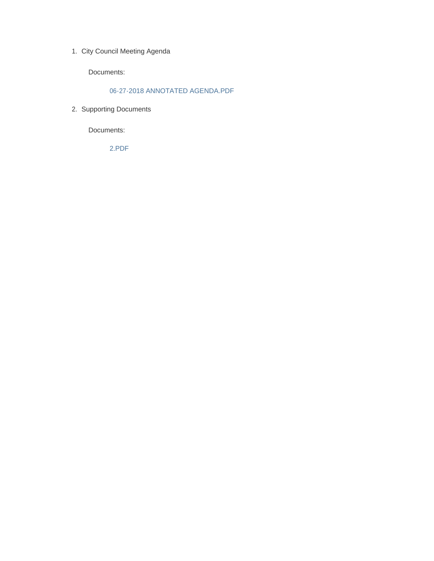1. City Council Meeting Agenda

Documents:

#### 06-27-2018 ANNOTATED AGENDA.PDF

2. Supporting Documents

Documents:

2.PDF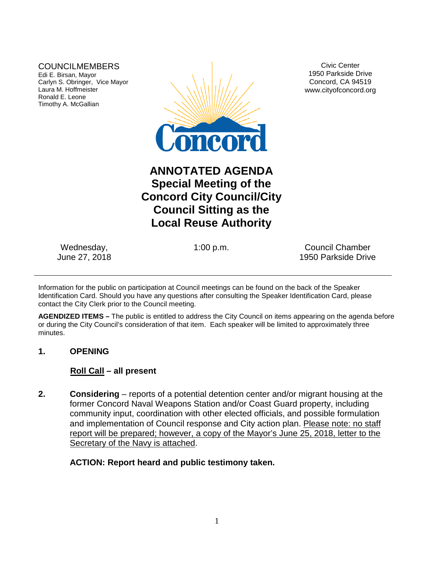# COUNCILMEMBERS

Edi E. Birsan, Mayor Carlyn S. Obringer, Vice Mayor Laura M. Hoffmeister Ronald E. Leone Timothy A. McGallian



Civic Center 1950 Parkside Drive Concord, CA 94519 www.cityofconcord.org

# **ANNOTATED AGENDA Special Meeting of the Concord City Council/City Council Sitting as the Local Reuse Authority**

Wednesday, June 27, 2018

1:00 p.m. Council Chamber 1950 Parkside Drive

Information for the public on participation at Council meetings can be found on the back of the Speaker Identification Card. Should you have any questions after consulting the Speaker Identification Card, please contact the City Clerk prior to the Council meeting.

**AGENDIZED ITEMS –** The public is entitled to address the City Council on items appearing on the agenda before or during the City Council's consideration of that item. Each speaker will be limited to approximately three minutes.

## **1. OPENING**

## **Roll Call – all present**

**2. Considering** – reports of a potential detention center and/or migrant housing at the former Concord Naval Weapons Station and/or Coast Guard property, including community input, coordination with other elected officials, and possible formulation and implementation of Council response and City action plan. Please note: no staff report will be prepared; however, a copy of the Mayor's June 25, 2018, letter to the Secretary of the Navy is attached.

## **ACTION: Report heard and public testimony taken.**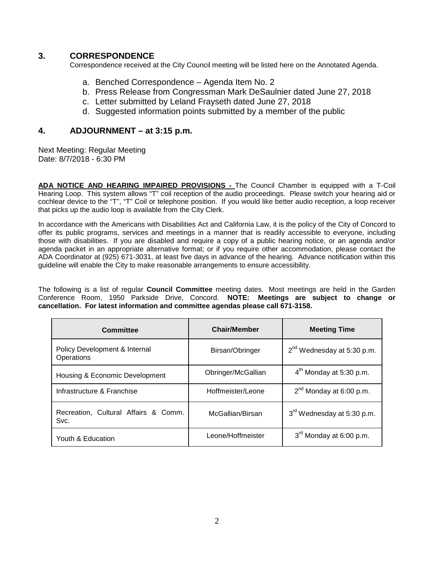## **3. CORRESPONDENCE**

Correspondence received at the City Council meeting will be listed here on the Annotated Agenda.

- a. Benched Correspondence Agenda Item No. 2
- b. Press Release from Congressman Mark DeSaulnier dated June 27, 2018
- c. Letter submitted by Leland Frayseth dated June 27, 2018
- d. Suggested information points submitted by a member of the public

#### **4. ADJOURNMENT – at 3:15 p.m.**

Next Meeting: Regular Meeting Date: 8/7/2018 - 6:30 PM

**ADA NOTICE AND HEARING IMPAIRED PROVISIONS -** The Council Chamber is equipped with a T-Coil Hearing Loop. This system allows "T" coil reception of the audio proceedings. Please switch your hearing aid or cochlear device to the "T", "T" Coil or telephone position. If you would like better audio reception, a loop receiver that picks up the audio loop is available from the City Clerk.

In accordance with the Americans with Disabilities Act and California Law, it is the policy of the City of Concord to offer its public programs, services and meetings in a manner that is readily accessible to everyone, including those with disabilities. If you are disabled and require a copy of a public hearing notice, or an agenda and/or agenda packet in an appropriate alternative format; or if you require other accommodation, please contact the ADA Coordinator at (925) 671-3031, at least five days in advance of the hearing. Advance notification within this guideline will enable the City to make reasonable arrangements to ensure accessibility.

The following is a list of regular **Council Committee** meeting dates. Most meetings are held in the Garden Conference Room, 1950 Parkside Drive, Concord. **NOTE: Meetings are subject to change or cancellation. For latest information and committee agendas please call 671-3158.**

| Committee                                    | <b>Chair/Member</b> | <b>Meeting Time</b>                    |
|----------------------------------------------|---------------------|----------------------------------------|
| Policy Development & Internal<br>Operations  | Birsan/Obringer     | $2^{nd}$ Wednesday at 5:30 p.m.        |
| Housing & Economic Development               | Obringer/McGallian  | $4th$ Monday at 5:30 p.m.              |
| Infrastructure & Franchise                   | Hoffmeister/Leone   | $2^{nd}$ Monday at 6:00 p.m.           |
| Recreation, Cultural Affairs & Comm.<br>Svc. | McGallian/Birsan    | 3 <sup>rd</sup> Wednesday at 5:30 p.m. |
| Youth & Education                            | Leone/Hoffmeister   | $3rd$ Monday at 6:00 p.m.              |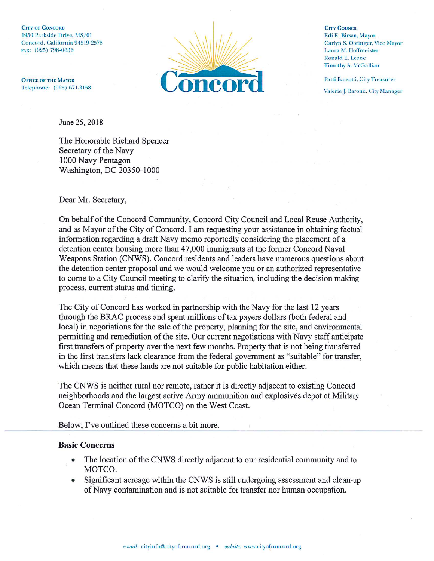**CITY OF CONCORD** 1950 Parkside Drive, MS/01 Concord, California 94519-2578 FAX: (925) 798-0636

**OFFICE OF THE MAYOR** Telephone: (925) 671-3158



**CITY COUNCIL** Edi E. Birsan, Mayor Carlyn S. Obringer, Vice Mayor Laura M. Hoffmeister **Ronald E. Leone Timothy A. McGallian** 

Patti Barsotti, City Treasurer

Valerie J. Barone, City Manager

June 25, 2018

The Honorable Richard Spencer Secretary of the Navy 1000 Navy Pentagon Washington, DC 20350-1000

Dear Mr. Secretary,

On behalf of the Concord Community, Concord City Council and Local Reuse Authority, and as Mayor of the City of Concord, I am requesting your assistance in obtaining factual information regarding a draft Navy memo reportedly considering the placement of a detention center housing more than 47,000 immigrants at the former Concord Naval Weapons Station (CNWS). Concord residents and leaders have numerous questions about the detention center proposal and we would welcome you or an authorized representative to come to a City Council meeting to clarify the situation, including the decision making process, current status and timing.

The City of Concord has worked in partnership with the Navy for the last 12 years through the BRAC process and spent millions of tax payers dollars (both federal and local) in negotiations for the sale of the property, planning for the site, and environmental permitting and remediation of the site. Our current negotiations with Navy staff anticipate first transfers of property over the next few months. Property that is not being transferred in the first transfers lack clearance from the federal government as "suitable" for transfer, which means that these lands are not suitable for public habitation either.

The CNWS is neither rural nor remote, rather it is directly adjacent to existing Concord neighborhoods and the largest active Army ammunition and explosives depot at Military Ocean Terminal Concord (MOTCO) on the West Coast.

Below, I've outlined these concerns a bit more.

#### **Basic Concerns**

- The location of the CNWS directly adjacent to our residential community and to MOTCO.
- Significant acreage within the CNWS is still undergoing assessment and clean-up  $\bullet$ of Navy contamination and is not suitable for transfer nor human occupation.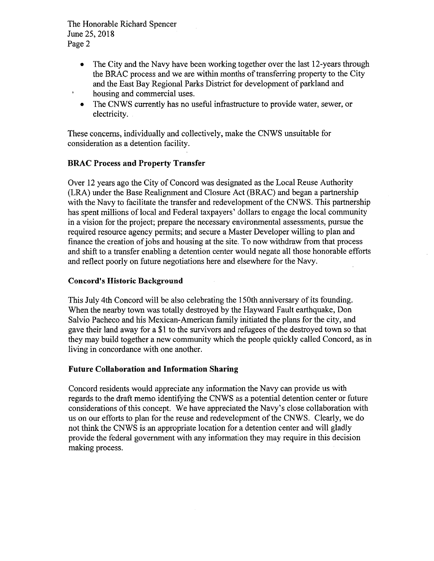The Honorable Richard Spencer June 25, 2018 Page 2

- The City and the Navy have been working together over the last 12-years through  $\bullet$ the BRAC process and we are within months of transferring property to the City and the East Bay Regional Parks District for development of parkland and housing and commercial uses.
- The CNWS currently has no useful infrastructure to provide water, sewer, or  $\bullet$ electricity.

These concerns, individually and collectively, make the CNWS unsuitable for consideration as a detention facility.

## **BRAC Process and Property Transfer**

Over 12 years ago the City of Concord was designated as the Local Reuse Authority (LRA) under the Base Realignment and Closure Act (BRAC) and began a partnership with the Navy to facilitate the transfer and redevelopment of the CNWS. This partnership has spent millions of local and Federal taxpayers' dollars to engage the local community in a vision for the project; prepare the necessary environmental assessments, pursue the required resource agency permits; and secure a Master Developer willing to plan and finance the creation of jobs and housing at the site. To now withdraw from that process and shift to a transfer enabling a detention center would negate all those honorable efforts and reflect poorly on future negotiations here and elsewhere for the Navy.

### **Concord's Historic Background**

This July 4th Concord will be also celebrating the 150th anniversary of its founding. When the nearby town was totally destroyed by the Hayward Fault earthquake, Don Salvio Pacheco and his Mexican-American family initiated the plans for the city, and gave their land away for a \$1 to the survivors and refugees of the destroyed town so that they may build together a new community which the people quickly called Concord, as in living in concordance with one another.

#### **Future Collaboration and Information Sharing**

Concord residents would appreciate any information the Navy can provide us with regards to the draft memo identifying the CNWS as a potential detention center or future considerations of this concept. We have appreciated the Navy's close collaboration with us on our efforts to plan for the reuse and redevelopment of the CNWS. Clearly, we do not think the CNWS is an appropriate location for a detention center and will gladly provide the federal government with any information they may require in this decision making process.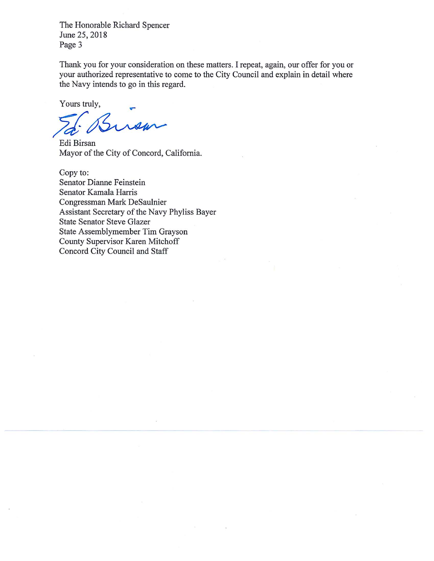The Honorable Richard Spencer June 25, 2018 Page 3

Thank you for your consideration on these matters. I repeat, again, our offer for you or your authorized representative to come to the City Council and explain in detail where the Navy intends to go in this regard.

Yours truly,

rom

Edi Birsan Mayor of the City of Concord, California.

Copy to: Senator Dianne Feinstein Senator Kamala Harris Congressman Mark DeSaulnier Assistant Secretary of the Navy Phyliss Bayer **State Senator Steve Glazer** State Assemblymember Tim Grayson County Supervisor Karen Mitchoff Concord City Council and Staff